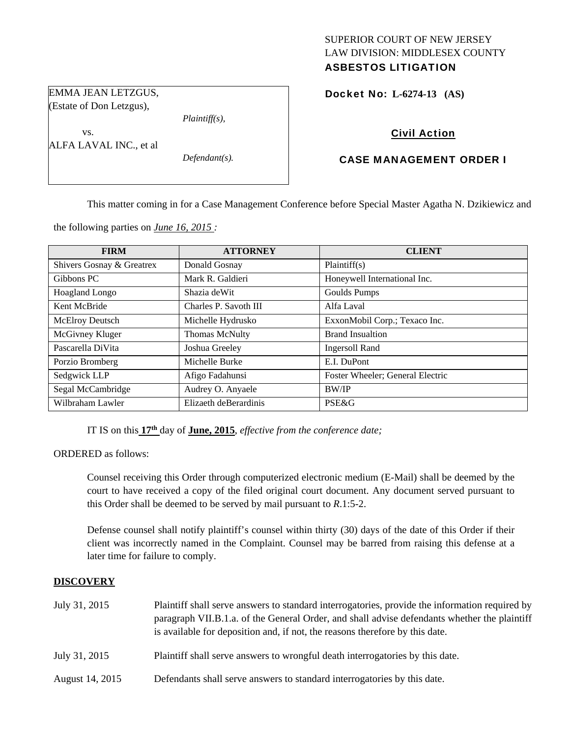## SUPERIOR COURT OF NEW JERSEY LAW DIVISION: MIDDLESEX COUNTY ASBESTOS LITIGATION

Docket No: **L-6274-13 (AS)** 

# Civil Action

## CASE MANAGEMENT ORDER I

This matter coming in for a Case Management Conference before Special Master Agatha N. Dzikiewicz and

the following parties on *June 16, 2015 :* 

*Plaintiff(s),* 

*Defendant(s).* 

EMMA JEAN LETZGUS, (Estate of Don Letzgus),

ALFA LAVAL INC., et al

vs.

| <b>FIRM</b>               | <b>ATTORNEY</b>       | <b>CLIENT</b>                    |
|---------------------------|-----------------------|----------------------------------|
| Shivers Gosnay & Greatrex | Donald Gosnay         | Plaintiff(s)                     |
| Gibbons PC                | Mark R. Galdieri      | Honeywell International Inc.     |
| Hoagland Longo            | Shazia deWit          | Goulds Pumps                     |
| Kent McBride              | Charles P. Savoth III | Alfa Laval                       |
| <b>McElroy Deutsch</b>    | Michelle Hydrusko     | ExxonMobil Corp.; Texaco Inc.    |
| McGivney Kluger           | Thomas McNulty        | <b>Brand Insualtion</b>          |
| Pascarella DiVita         | Joshua Greeley        | <b>Ingersoll Rand</b>            |
| Porzio Bromberg           | Michelle Burke        | E.I. DuPont                      |
| Sedgwick LLP              | Afigo Fadahunsi       | Foster Wheeler; General Electric |
| Segal McCambridge         | Audrey O. Anyaele     | <b>BW/IP</b>                     |
| Wilbraham Lawler          | Elizaeth deBerardinis | <b>PSE&amp;G</b>                 |

IT IS on this **17th** day of **June, 2015**, *effective from the conference date;*

ORDERED as follows:

Counsel receiving this Order through computerized electronic medium (E-Mail) shall be deemed by the court to have received a copy of the filed original court document. Any document served pursuant to this Order shall be deemed to be served by mail pursuant to *R*.1:5-2.

Defense counsel shall notify plaintiff's counsel within thirty (30) days of the date of this Order if their client was incorrectly named in the Complaint. Counsel may be barred from raising this defense at a later time for failure to comply.

#### **DISCOVERY**

| July 31, 2015   | Plaintiff shall serve answers to standard interrogatories, provide the information required by<br>paragraph VII.B.1.a. of the General Order, and shall advise defendants whether the plaintiff<br>is available for deposition and, if not, the reasons therefore by this date. |
|-----------------|--------------------------------------------------------------------------------------------------------------------------------------------------------------------------------------------------------------------------------------------------------------------------------|
| July 31, 2015   | Plaintiff shall serve answers to wrongful death interrogatories by this date.                                                                                                                                                                                                  |
| August 14, 2015 | Defendants shall serve answers to standard interrogatories by this date.                                                                                                                                                                                                       |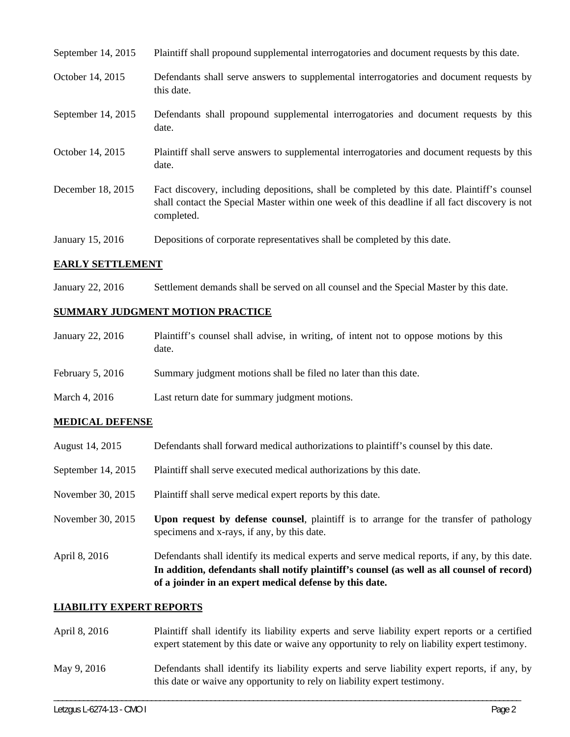| September 14, 2015 | Plaintiff shall propound supplemental interrogatories and document requests by this date.                                                                                                                   |
|--------------------|-------------------------------------------------------------------------------------------------------------------------------------------------------------------------------------------------------------|
| October 14, 2015   | Defendants shall serve answers to supplemental interrogatories and document requests by<br>this date.                                                                                                       |
| September 14, 2015 | Defendants shall propound supplemental interrogatories and document requests by this<br>date.                                                                                                               |
| October 14, 2015   | Plaintiff shall serve answers to supplemental interrogatories and document requests by this<br>date.                                                                                                        |
| December 18, 2015  | Fact discovery, including depositions, shall be completed by this date. Plaintiff's counsel<br>shall contact the Special Master within one week of this deadline if all fact discovery is not<br>completed. |
| January 15, 2016   | Depositions of corporate representatives shall be completed by this date.                                                                                                                                   |

# **EARLY SETTLEMENT**

January 22, 2016 Settlement demands shall be served on all counsel and the Special Master by this date.

# **SUMMARY JUDGMENT MOTION PRACTICE**

| January 22, 2016   | Plaintiff's counsel shall advise, in writing, of intent not to oppose motions by this<br>date. |
|--------------------|------------------------------------------------------------------------------------------------|
| February $5, 2016$ | Summary judgment motions shall be filed no later than this date.                               |
| March 4, 2016      | Last return date for summary judgment motions.                                                 |

# **MEDICAL DEFENSE**

| August 14, 2015      | Defendants shall forward medical authorizations to plaintiff's counsel by this date.                                                                                                                                                                     |
|----------------------|----------------------------------------------------------------------------------------------------------------------------------------------------------------------------------------------------------------------------------------------------------|
| September $14, 2015$ | Plaintiff shall serve executed medical authorizations by this date.                                                                                                                                                                                      |
| November 30, 2015    | Plaintiff shall serve medical expert reports by this date.                                                                                                                                                                                               |
| November 30, 2015    | Upon request by defense counsel, plaintiff is to arrange for the transfer of pathology<br>specimens and x-rays, if any, by this date.                                                                                                                    |
| April 8, 2016        | Defendants shall identify its medical experts and serve medical reports, if any, by this date.<br>In addition, defendants shall notify plaintiff's counsel (as well as all counsel of record)<br>of a joinder in an expert medical defense by this date. |

# **LIABILITY EXPERT REPORTS**

| April 8, 2016 | Plaintiff shall identify its liability experts and serve liability expert reports or a certified<br>expert statement by this date or waive any opportunity to rely on liability expert testimony. |
|---------------|---------------------------------------------------------------------------------------------------------------------------------------------------------------------------------------------------|
| May 9, 2016   | Defendants shall identify its liability experts and serve liability expert reports, if any, by<br>this date or waive any opportunity to rely on liability expert testimony.                       |